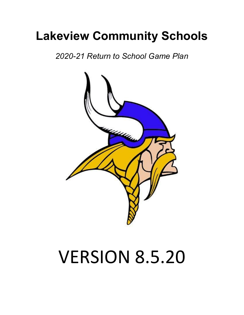## **Lakeview Community Schools**

*2020-21 Return to School Game Plan*



# VERSION 8.5.20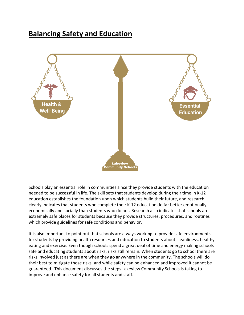### **Balancing Safety and Education**



Schools play an essential role in communities since they provide students with the education needed to be successful in life. The skill sets that students develop during their time in K-12 education establishes the foundation upon which students build their future, and research clearly indicates that students who complete their K-12 education do far better emotionally, economically and socially than students who do not. Research also indicates that schools are extremely safe places for students because they provide structures, procedures, and routines which provide guidelines for safe conditions and behavior.

It is also important to point out that schools are always working to provide safe environments for students by providing health resources and education to students about cleanliness, healthy eating and exercise. Even though schools spend a great deal of time and energy making schools safe and educating students about risks, risks still remain. When students go to school there are risks involved just as there are when they go anywhere in the community. The schools will do their best to mitigate those risks, and while safety can be enhanced and improved it cannot be guaranteed. This document discusses the steps Lakeview Community Schools is taking to improve and enhance safety for all students and staff.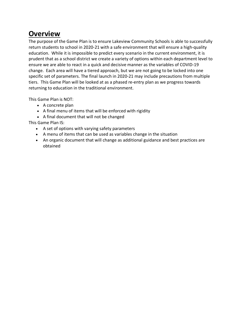## **Overview**

The purpose of the Game Plan is to ensure Lakeview Community Schools is able to successfully return students to school in 2020-21 with a safe environment that will ensure a high-quality education. While it is impossible to predict every scenario in the current environment, it is prudent that as a school district we create a variety of options within each department level to ensure we are able to react in a quick and decisive manner as the variables of COVID-19 change. Each area will have a tiered approach, but we are not going to be locked into one specific set of parameters. The final launch in 2020-21 may include precautions from multiple tiers. This Game Plan will be looked at as a phased re-entry plan as we progress towards returning to education in the traditional environment.

This Game Plan is NOT:

- A concrete plan
- A final menu of items that will be enforced with rigidity
- A final document that will not be changed

This Game Plan IS:

- A set of options with varying safety parameters
- A menu of items that can be used as variables change in the situation
- An organic document that will change as additional guidance and best practices are obtained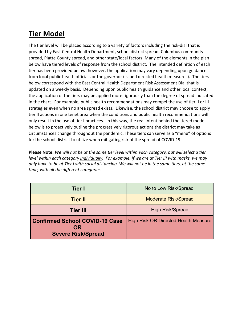## **Tier Model**

The tier level will be placed according to a variety of factors including the risk-dial that is provided by East Central Health Department, school district spread, Columbus community spread, Platte County spread, and other state/local factors. Many of the elements in the plan below have tiered levels of response from the school district. The intended definition of each tier has been provided below; however, the application may vary depending upon guidance from local public health officials or the governor (issued directed health measures). The tiers below correspond with the East Central Health Department Risk Assessment Dial that is updated on a weekly basis. Depending upon public health guidance and other local context, the application of the tiers may be applied more rigorously than the degree of spread indicated in the chart. For example, public health recommendations may compel the use of tier II or III strategies even when no area spread exists. Likewise, the school district may choose to apply tier II actions in one tenet area when the conditions and public health recommendations will only result in the use of tier I practices. In this way, the real intent behind the tiered model below is to proactively outline the progressively rigorous actions the district may take as circumstances change throughout the pandemic. These tiers can serve as a "menu" of options for the school district to utilize when mitigating risk of the spread of COVID-19.

**Please Note:** *We will not be at the same tier level within each category, but will select a tier level within each category individually. For example, if we are at Tier III with masks, we may only have to be at Tier I with social distancing. We will not be in the same tiers, at the same time, with all the different categories.*

| Tier I                                                                          | No to Low Risk/Spread                       |
|---------------------------------------------------------------------------------|---------------------------------------------|
| <b>Tier II</b>                                                                  | <b>Moderate Risk/Spread</b>                 |
| <b>Tier III</b>                                                                 | <b>High Risk/Spread</b>                     |
| <b>Confirmed School COVID-19 Case</b><br><b>OR</b><br><b>Severe Risk/Spread</b> | <b>High Risk OR Directed Health Measure</b> |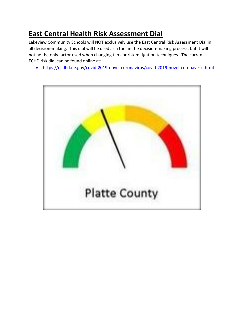## **East Central Health Risk Assessment Dial**

Lakeview Community Schools will NOT exclusively use the East Central Risk Assessment Dial in all decision-making. This dial will be used as a tool in the decision-making process, but it will not be the only factor used when changing tiers or risk mitigation techniques. The current ECHD risk dial can be found online at:

• https://ecdhd.ne.gov/covid-2019-novel-coronavirus/covid-2019-novel-coronavirus.html

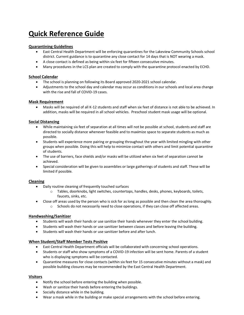## **Quick Reference Guide**

#### **Quarantining Guidelines**

- East Central Health Department will be enforcing quarantines for the Lakeview Community Schools school district. Current guidance is to quarantine any close contact for 14 days that is NOT wearing a mask.
- A close contact is defined as being within six feet for fifteen consecutive minutes.
- Many procedures in the LCS plan are created to comply with the quarantine protocol enacted by ECHD.

#### **School Calendar**

- The school is planning on following its Board approved 2020-2021 school calendar.
- Adjustments to the school day and calendar may occur as conditions in our schools and local area change with the rise and fall of COVID-19 cases.

#### **Mask Requirement**

• Masks will be required of all K-12 students and staff when six feet of distance is not able to be achieved. In addition, masks will be required in all school vehicles. Preschool student mask usage will be optional.

#### **Social Distancing**

- While maintaining six feet of separation at all times will not be possible at school, students and staff are directed to socially distance whenever feasible and to maximize space to separate students as much as possible.
- Students will experience more pairing or grouping throughout the year with limited mingling with other groups when possible. Doing this will help to minimize contact with others and limit potential quarantine of students.
- The use of barriers, face shields and/or masks will be utilized when six feet of separation cannot be achieved.
- Special consideration will be given to assemblies or large gatherings of students and staff. These will be limited if possible.

#### **Cleaning**

- Daily routine cleaning of frequently touched surfaces
	- $\circ$  Tables, doorknobs, light switches, countertops, handles, desks, phones, keyboards, toilets, faucets, sinks, etc.
- Close off areas used by the person who is sick for as long as possible and then clean the area thoroughly.
	- $\circ$  Schools do not necessarily need to close operations, if they can close off affected areas.

#### **Handwashing/Sanitizer**

- Students will wash their hands or use sanitize their hands whenever they enter the school building.
- Students will wash their hands or use sanitizer between classes and before leaving the building.
- Students will wash their hands or use sanitizer before and after lunch.

#### **When Student/Staff Member Tests Positive**

- East Central Health Department officials will be collaborated with concerning school operations.
- Students or staff who show symptoms of a COVID-19 infection will be sent home. Parents of a student who is displaying symptoms will be contacted.
- Quarantine measures for close contacts (within six feet for 15 consecutive minutes without a mask) and possible building closures may be recommended by the East Central Health Department.

#### **Visitors**

- Notify the school before entering the building when possible.
- Wash or sanitize their hands before entering the buildings.
- Socially distance while in the building.
- Wear a mask while in the building or make special arrangements with the school before entering.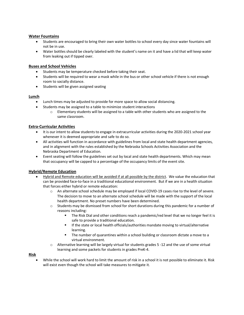#### **Water Fountains**

- Students are encouraged to bring their own water bottles to school every day since water fountains will not be in use.
- Water bottles should be clearly labeled with the student's name on it and have a lid that will keep water from leaking out if tipped over.

#### **Buses and School Vehicles**

- Students may be temperature checked before taking their seat.
- Students will be required to wear a mask while in the bus or other school vehicle if there is not enough room to socially distance.
- Students will be given assigned seating

#### **Lunch**

- Lunch times may be adjusted to provide for more space to allow social distancing.
- Students may be assigned to a table to minimize student interactions
	- $\circ$  Elementary students will be assigned to a table with other students who are assigned to the same classroom.

#### **Extra-Curricular Activities**

- It is our intent to allow students to engage in extracurricular activities during the 2020-2021 school year whenever it is deemed appropriate and safe to do so.
- All activities will function in accordance with guidelines from local and state health department agencies, and in alignment with the rules established by the Nebraska Schools Activities Association and the Nebraska Department of Education.
- Event seating will follow the guidelines set out by local and state health departments. Which may mean that occupancy will be capped to a percentage of the occupancy limits of the event site.

#### **Hybrid/Remote Education**

- Hybrid and Remote education will be avoided if at all possible by the district. We value the education that can be provided face-to-face in a traditional educational environment. But if we are in a health situation that forces either hybrid or remote education:
	- o An alternate school schedule may be employed if local COVID-19 cases rise to the level of severe. The decision to move to an alternate school schedule will be made with the support of the local health department. No preset numbers have been determined.
	- $\circ$  Students may be dismissed from school for short durations during this pandemic for a number of reasons including:
		- The Risk Dial and other conditions reach a pandemic/red level that we no longer feel it is safe to provide a traditional education.
		- If the state or local health officials/authorities mandate moving to virtual/alternative learning.
		- The number of quarantines within a school building or classroom dictate a move to a virtual environment.
	- o Alternative learning will be largely virtual for students grades 5 -12 and the use of some virtual learning and some packets for students in grades PreK-4.

**Risk**

• While the school will work hard to limit the amount of risk in a school it is not possible to eliminate it. Risk will exist even though the school will take measures to mitigate it.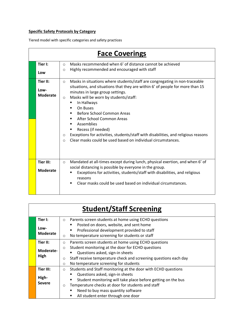#### **Specific Safety Protocols by Category**

Tiered model with specific categories and safety practices

|                                     | <b>Face Coverings</b>                                                                                                                                                                                                                                                                                                                                                                                                                                                                                                                                                                                              |
|-------------------------------------|--------------------------------------------------------------------------------------------------------------------------------------------------------------------------------------------------------------------------------------------------------------------------------------------------------------------------------------------------------------------------------------------------------------------------------------------------------------------------------------------------------------------------------------------------------------------------------------------------------------------|
| Tier I:<br>Low                      | Masks recommended when 6' of distance cannot be achieved<br>$\circ$<br>Highly recommended and encouraged with staff<br>$\circ$                                                                                                                                                                                                                                                                                                                                                                                                                                                                                     |
| Tier II:<br>Low-<br><b>Moderate</b> | Masks in situations where students/staff are congregating in non-traceable<br>$\circ$<br>situations, and situations that they are within 6' of people for more than 15<br>minutes in large group settings.<br>Masks will be worn by students/staff:<br>$\circ$<br>In Hallways<br>On Buses<br>$\blacksquare$<br>Before School Common Areas<br>٠<br>After School Common Areas<br>٠<br>Assemblies<br>$\blacksquare$<br>Recess (if needed)<br>Exceptions for activities, students/staff with disabilities, and religious reasons<br>$\circ$<br>Clear masks could be used based on individual circumstances.<br>$\circ$ |
| Tier III:<br><b>Moderate</b>        | Mandated at all-times except during lunch, physical exertion, and when 6' of<br>$\circ$<br>social distancing is possible by everyone in the group.<br>Exceptions for activities, students/staff with disabilities, and religious<br>reasons<br>Clear masks could be used based on individual circumstances.<br>$\blacksquare$                                                                                                                                                                                                                                                                                      |

|                                                                                                                       | <b>Student/Staff Screening</b> |                                                                                                                                                                     |  |  |  |
|-----------------------------------------------------------------------------------------------------------------------|--------------------------------|---------------------------------------------------------------------------------------------------------------------------------------------------------------------|--|--|--|
| Tier I:<br>Parents screen students at home using ECHD questions<br>$\circ$<br>Posted on doors, website, and sent home |                                |                                                                                                                                                                     |  |  |  |
|                                                                                                                       | Low-<br><b>Moderate</b>        | Professional development provided to staff<br>No temperature screening for students or staff<br>$\circ$                                                             |  |  |  |
|                                                                                                                       | Tier II:                       | Parents screen students at home using ECHD questions<br>$\circ$                                                                                                     |  |  |  |
|                                                                                                                       | Moderate-<br>High              | Student monitoring at the door for ECHD questions<br>$\circ$<br>Questions asked, sign-in sheets<br>Staff receive temperature check and screening questions each day |  |  |  |
|                                                                                                                       |                                | $\circ$<br>No temperature screening for students<br>$\circ$                                                                                                         |  |  |  |
|                                                                                                                       | Tier III:                      | Students and Staff monitoring at the door with ECHD questions<br>$\circ$                                                                                            |  |  |  |
|                                                                                                                       | High-<br><b>Severe</b>         | Questions asked, sign-in sheets<br>Student monitoring will take place before getting on the bus                                                                     |  |  |  |
|                                                                                                                       |                                | Temperature checks at door for students and staff<br>$\circ$<br>Need to buy mass quantity software<br>All student enter through one door<br>٠                       |  |  |  |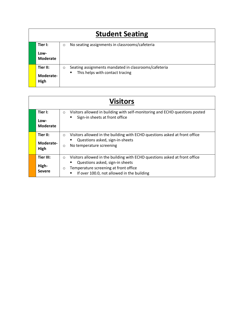| <b>Student Seating</b> |                                                                 |  |  |
|------------------------|-----------------------------------------------------------------|--|--|
| Tier I:                | No seating assignments in classrooms/cafeteria<br>$\circ$       |  |  |
| Low-<br>Moderate       |                                                                 |  |  |
| Tier II:               | Seating assignments mandated in classrooms/cafeteria<br>$\circ$ |  |  |
| Moderate-<br>High      | This helps with contact tracing                                 |  |  |

| <b>Visitors</b>                     |                                                                                                                                                                                                                            |  |
|-------------------------------------|----------------------------------------------------------------------------------------------------------------------------------------------------------------------------------------------------------------------------|--|
| Tier I:<br>Low-<br>Moderate         | Visitors allowed in building with self-monitoring and ECHD questions posted<br>$\circ$<br>Sign-in sheets at front office                                                                                                   |  |
| Tier II:<br>Moderate-<br>High       | Visitors allowed in the building with ECHD questions asked at front office<br>$\circ$<br>Questions asked, sign-in-sheets<br>No temperature screening<br>$\circ$                                                            |  |
| Tier III:<br>High-<br><b>Severe</b> | Visitors allowed in the building with ECHD questions asked at front office<br>$\circ$<br>Questions asked, sign-in sheets<br>Temperature screening at front office<br>$\circ$<br>If over 100.0, not allowed in the building |  |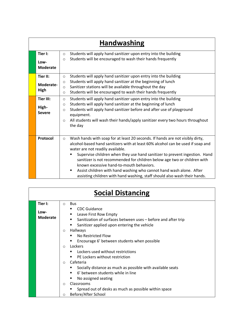|  | <b>Handwashing</b>      |                                                                                                     |  |  |
|--|-------------------------|-----------------------------------------------------------------------------------------------------|--|--|
|  | Tier I:                 | Students will apply hand sanitizer upon entry into the building<br>$\circ$                          |  |  |
|  | Low-<br><b>Moderate</b> | Students will be encouraged to wash their hands frequently<br>$\circ$                               |  |  |
|  | Tier II:                | Students will apply hand sanitizer upon entry into the building<br>$\circ$                          |  |  |
|  | Moderate-               | Students will apply hand sanitizer at the beginning of lunch<br>$\circ$                             |  |  |
|  | High                    | Sanitizer stations will be available throughout the day<br>$\circ$                                  |  |  |
|  |                         | Students will be encouraged to wash their hands frequently<br>$\circ$                               |  |  |
|  | <b>Tier III:</b>        | Students will apply hand sanitizer upon entry into the building<br>$\circ$                          |  |  |
|  | High-<br><b>Severe</b>  | Students will apply hand sanitizer at the beginning of lunch<br>$\circ$                             |  |  |
|  |                         | Students will apply hand sanitizer before and after use of playground<br>$\circ$                    |  |  |
|  |                         | equipment.                                                                                          |  |  |
|  |                         | All students will wash their hands/apply sanitizer every two hours throughout<br>$\circ$<br>the day |  |  |
|  |                         |                                                                                                     |  |  |
|  | Protocol                | Wash hands with soap for at least 20 seconds. If hands are not visibly dirty,<br>$\circ$            |  |  |
|  |                         | alcohol-based hand sanitizers with at least 60% alcohol can be used if soap and                     |  |  |
|  |                         | water are not readily available.                                                                    |  |  |
|  |                         | Supervise children when they use hand sanitizer to prevent ingestion. Hand                          |  |  |
|  |                         | sanitizer is not recommended for children below age two or children with                            |  |  |
|  |                         | known excessive hand-to-mouth behaviors.                                                            |  |  |
|  |                         | Assist children with hand washing who cannot hand wash alone. After<br>$\blacksquare$               |  |  |
|  |                         | assisting children with hand washing, staff should also wash their hands.                           |  |  |

| <b>Social Distancing</b>           |                                                                                                                                                                                                                                                                                                                                                                                                                                                                                                                                                                         |  |  |
|------------------------------------|-------------------------------------------------------------------------------------------------------------------------------------------------------------------------------------------------------------------------------------------------------------------------------------------------------------------------------------------------------------------------------------------------------------------------------------------------------------------------------------------------------------------------------------------------------------------------|--|--|
| Tier I:<br>Low-<br><b>Moderate</b> | <b>Bus</b><br>$\circ$<br><b>CDC Guidance</b><br>Leave First Row Empty<br>Sanitization of surfaces between uses - before and after trip<br>Sanitizer applied upon entering the vehicle<br><b>Hallways</b><br>$\circ$<br>No Restricted Flow<br>Encourage 6' between students when possible<br>Lockers<br>$\bigcirc$<br>Lockers used without restrictions<br>PE Lockers without restriction<br>Cafeteria<br>$\Omega$<br>Socially distance as much as possible with available seats<br>6' between students while in line<br>No assigned seating<br>Classrooms<br>$\bigcirc$ |  |  |
|                                    | Spread out of desks as much as possible within space<br>Before/After School<br>$\circ$                                                                                                                                                                                                                                                                                                                                                                                                                                                                                  |  |  |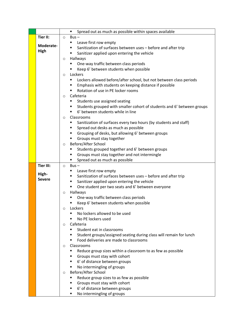|                  | Spread out as much as possible within spaces available<br>٠                                                 |  |
|------------------|-------------------------------------------------------------------------------------------------------------|--|
| Tier II:         | $\circ$ Bus -                                                                                               |  |
|                  | Leave first row empty<br>٠                                                                                  |  |
| Moderate-        | Sanitization of surfaces between uses - before and after trip                                               |  |
| High             | Sanitizer applied upon entering the vehicle<br>п                                                            |  |
|                  | Hallways<br>$\circ$                                                                                         |  |
|                  | One-way traffic between class periods                                                                       |  |
|                  | Keep 6' between students when possible                                                                      |  |
|                  | Lockers<br>$\circ$                                                                                          |  |
|                  | Lockers allowed before/after school, but not between class periods<br>٠                                     |  |
|                  | Emphasis with students on keeping distance if possible<br>٠                                                 |  |
|                  | Rotation of use in PE locker rooms                                                                          |  |
|                  | Cafeteria<br>$\circ$                                                                                        |  |
|                  | Students use assigned seating                                                                               |  |
|                  | Students grouped with smaller cohort of students and 6' between groups<br>6' between students while in line |  |
|                  | Classrooms<br>$\circ$                                                                                       |  |
|                  | Sanitization of surfaces every two hours (by students and staff)                                            |  |
|                  | Spread out desks as much as possible                                                                        |  |
|                  | Grouping of desks, but allowing 6' between groups                                                           |  |
|                  | Groups must stay together                                                                                   |  |
|                  | Before/After School<br>$\circ$                                                                              |  |
|                  | Students grouped together and 6' between groups                                                             |  |
|                  | Groups must stay together and not intermingle                                                               |  |
|                  | Spread out as much as possible                                                                              |  |
| <b>Tier III:</b> | $Bus -$<br>$\circ$                                                                                          |  |
|                  | Leave first row empty<br>٠                                                                                  |  |
| High-            | Sanitization of surfaces between uses - before and after trip                                               |  |
| <b>Severe</b>    | Sanitizer applied upon entering the vehicle<br>٠                                                            |  |
|                  | One student per two seats and 6' between everyone<br>п                                                      |  |
|                  | Hallways<br>$\circ$                                                                                         |  |
|                  | One-way traffic between class periods                                                                       |  |
|                  | Keep 6' between students when possible                                                                      |  |
|                  | Lockers<br>O                                                                                                |  |
|                  | No lockers allowed to be used                                                                               |  |
|                  | No PE lockers used<br>Cafeteria                                                                             |  |
|                  | O<br>Student eat in classrooms                                                                              |  |
|                  | Student groups/assigned seating during class will remain for lunch                                          |  |
|                  | Food deliveries are made to classrooms                                                                      |  |
|                  | Classrooms<br>$\circ$                                                                                       |  |
|                  | Reduce group sizes within a classroom to as few as possible<br>п                                            |  |
|                  | Groups must stay with cohort                                                                                |  |
|                  | 6' of distance between groups<br>п                                                                          |  |
|                  | No intermingling of groups                                                                                  |  |
|                  | Before/After School<br>O                                                                                    |  |
|                  | Reduce group sizes to as few as possible                                                                    |  |
|                  | Groups must stay with cohort                                                                                |  |
|                  | 6' of distance between groups                                                                               |  |
|                  | No intermingling of groups                                                                                  |  |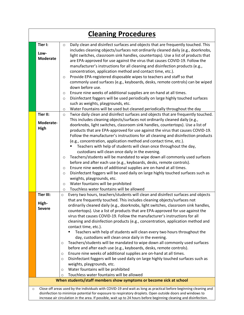|         |                  |                    | <b>Cleaning Procedures</b>                                                                                                                                                                                                       |
|---------|------------------|--------------------|----------------------------------------------------------------------------------------------------------------------------------------------------------------------------------------------------------------------------------|
|         | Tier I:          | $\circ$            | Daily clean and disinfect surfaces and objects that are frequently touched. This                                                                                                                                                 |
|         | Low-             |                    | includes cleaning objects/surfaces not ordinarily cleaned daily (e.g., doorknobs,                                                                                                                                                |
|         | <b>Moderate</b>  |                    | light switches, classroom sink handles, countertops). Use a list of products that                                                                                                                                                |
|         |                  |                    | are EPA-approved for use against the virus that causes COVID-19. Follow the                                                                                                                                                      |
|         |                  |                    | manufacturer's instructions for all cleaning and disinfection products (e.g.,                                                                                                                                                    |
|         |                  |                    | concentration, application method and contact time, etc.).<br>Provide EPA-registered disposable wipes to teachers and staff so that                                                                                              |
|         |                  | $\circ$            | commonly used surfaces (e.g., keyboards, desks, remote controls) can be wiped                                                                                                                                                    |
|         |                  |                    | down before use.                                                                                                                                                                                                                 |
|         |                  | $\circ$            | Ensure nine weeks of additional supplies are on-hand at all times.                                                                                                                                                               |
|         |                  | $\circ$            | Disinfectant foggers will be used periodically on large highly touched surfaces                                                                                                                                                  |
|         |                  |                    | such as weights, playgrounds, etc.                                                                                                                                                                                               |
|         |                  | $\circ$            | Water Fountains will be used but cleaned periodically throughout the day                                                                                                                                                         |
|         | Tier II:         | $\circ$            | Twice daily clean and disinfect surfaces and objects that are frequently touched.                                                                                                                                                |
|         | Moderate-        |                    | This includes cleaning objects/surfaces not ordinarily cleaned daily (e.g.,                                                                                                                                                      |
|         | <b>High</b>      |                    | doorknobs, light switches, classroom sink handles, countertops). Use a list of                                                                                                                                                   |
|         |                  |                    | products that are EPA-approved for use against the virus that causes COVID-19.<br>Follow the manufacturer's instructions for all cleaning and disinfection products                                                              |
|         |                  |                    | (e.g., concentration, application method and contact time, etc.).                                                                                                                                                                |
|         |                  |                    | Teachers with help of students will clean once throughout the day,                                                                                                                                                               |
|         |                  |                    | custodians will clean once daily in the evening.                                                                                                                                                                                 |
|         |                  | $\circ$            | Teachers/students will be mandated to wipe down all commonly used surfaces                                                                                                                                                       |
|         |                  |                    | before and after each use (e.g., keyboards, desks, remote controls).                                                                                                                                                             |
|         |                  | $\circ$            | Ensure nine weeks of additional supplies are on-hand at all times.                                                                                                                                                               |
|         |                  | $\circ$            | Disinfectant foggers will be used daily on large highly touched surfaces such as                                                                                                                                                 |
|         |                  |                    | weights, playgrounds, etc.                                                                                                                                                                                                       |
|         |                  | $\circ$<br>$\circ$ | Water fountains will be prohibited<br>Touchless water fountains will be allowed                                                                                                                                                  |
|         | <b>Tier III:</b> | $\circ$            | Every two hours, teachers/students will clean and disinfect surfaces and objects                                                                                                                                                 |
|         |                  |                    | that are frequently touched. This includes cleaning objects/surfaces not                                                                                                                                                         |
|         | High-            |                    | ordinarily cleaned daily (e.g., doorknobs, light switches, classroom sink handles,                                                                                                                                               |
|         | <b>Severe</b>    |                    | countertops). Use a list of products that are EPA-approved for use against the                                                                                                                                                   |
|         |                  |                    | virus that causes COVID-19. Follow the manufacturer's instructions for all                                                                                                                                                       |
|         |                  |                    | cleaning and disinfection products (e.g., concentration, application method and                                                                                                                                                  |
|         |                  |                    | contact time, etc.).                                                                                                                                                                                                             |
|         |                  |                    | Teachers with help of students will clean every two hours throughout the<br>day, custodians will clean once daily in the evening.                                                                                                |
|         |                  | O                  | Teachers/students will be mandated to wipe down all commonly used surfaces                                                                                                                                                       |
|         |                  |                    | before and after each use (e.g., keyboards, desks, remote controls).                                                                                                                                                             |
|         |                  | O                  | Ensure nine weeks of additional supplies are on-hand at all times.                                                                                                                                                               |
|         |                  | O                  | Disinfectant foggers will be used daily on large highly touched surfaces such as                                                                                                                                                 |
|         |                  |                    | weights, playgrounds, etc.                                                                                                                                                                                                       |
|         |                  | O                  | Water fountains will be prohibited                                                                                                                                                                                               |
|         |                  | $\circ$            | Touchless water fountains will be allowed                                                                                                                                                                                        |
|         |                  |                    | When students/staff members show symptoms or become sick at school                                                                                                                                                               |
| $\circ$ |                  |                    | Close off areas used by the individuals with COVID-19 and wait as long as practical before beginning cleaning and                                                                                                                |
|         |                  |                    | disinfection to minimize potential for exposure to respiratory droplets. Open outside doors and windows to<br>increase air circulation in the area. If possible, wait up to 24 hours before beginning cleaning and disinfection. |
|         |                  |                    |                                                                                                                                                                                                                                  |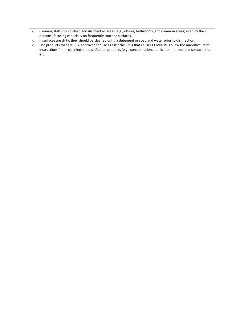- o Cleaning staff should clean and disinfect all areas (e.g., offices, bathrooms, and common areas) used by the ill persons, focusing especially on frequently touched surfaces.
- o If surfaces are dirty, they should be cleaned using a detergent or soap and water prior to disinfection.
- o Use products that are EPA-approved for use against the virus that causes COVID-19. Follow the manufacturer's instructions for all cleaning and disinfection products (e.g., concentration, application method and contact time, etc.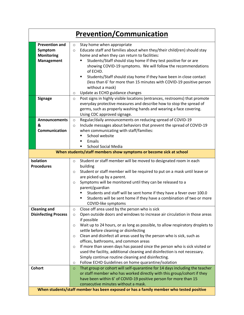|                                                                            | <b>Prevention/Communication</b>                                                                                                                                                                                                                                                                                                                                                                                                                                                                                                                                                                                                                                                                         |
|----------------------------------------------------------------------------|---------------------------------------------------------------------------------------------------------------------------------------------------------------------------------------------------------------------------------------------------------------------------------------------------------------------------------------------------------------------------------------------------------------------------------------------------------------------------------------------------------------------------------------------------------------------------------------------------------------------------------------------------------------------------------------------------------|
| <b>Prevention and</b><br>Symptom<br><b>Monitoring</b><br><b>Management</b> | Stay home when appropriate<br>$\circ$<br>Educate staff and families about when they/their child(ren) should stay<br>$\circ$<br>home and when they can return to facilities:<br>Students/Staff should stay home if they test positive for or are<br>showing COVID-19 symptoms. We will follow the recommendations<br>of ECHD.<br>Students/Staff should stay home if they have been in close contact<br>(less than 6' for more than 15 minutes with COVID-19 positive person<br>without a mask)<br>Update as ECHD guidance changes<br>O                                                                                                                                                                   |
| <b>Signage</b>                                                             | Post signs in highly visible locations (entrances, restrooms) that promote<br>$\circ$<br>everyday protective measures and describe how to stop the spread of<br>germs, such as properly washing hands and wearing a face covering.<br>Using CDC approved signage.                                                                                                                                                                                                                                                                                                                                                                                                                                       |
| <b>Announcements</b><br>&<br>Communication                                 | Regular/daily announcements on reducing spread of COVID-19<br>$\circ$<br>Include messages about behaviors that prevent the spread of COVID-19<br>$\circ$<br>when communicating with staff/families:<br>School website<br>Emails<br><b>School Social Media</b>                                                                                                                                                                                                                                                                                                                                                                                                                                           |
|                                                                            | When students/staff members show symptoms or become sick at school                                                                                                                                                                                                                                                                                                                                                                                                                                                                                                                                                                                                                                      |
| <b>Isolation</b><br><b>Procedures</b>                                      | Student or staff member will be moved to designated room in each<br>$\circ$<br>building<br>Student or staff member will be required to put on a mask until leave or<br>$\circ$<br>are picked up by a parent.<br>Symptoms will be monitored until they can be released to a<br>$\circ$<br>parent/guardian<br>Students and staff will be sent home if they have a fever over 100.0<br>Students will be sent home if they have a combination of two or more<br>COVID-like symptoms                                                                                                                                                                                                                         |
| <b>Cleaning and</b><br><b>Disinfecting Process</b>                         | Close off area used by the person who is sick<br>O<br>Open outside doors and windows to increase air circulation in those areas<br>$\circ$<br>if possible<br>Wait up to 24 hours, or as long as possible, to allow respiratory droplets to<br>O<br>settle before cleaning or disinfecting<br>Clean and disinfect all areas used by the person who is sick, such as<br>$\circ$<br>offices, bathrooms, and common areas<br>If more than seven days has passed since the person who is sick visited or<br>O<br>used the facility, additional cleaning and disinfection is not necessary.<br>Simply continue routine cleaning and disinfecting.<br>Follow ECHD Guidelines on home quarantine/isolation<br>O |
| <b>Cohort</b>                                                              | That group or cohort will self-quarantine for 14 days including the teacher<br>$\circ$<br>or staff member who has worked directly with this group/cohort if they<br>have been within 6' of COVID-19 positive person for more than 15<br>consecutive minutes without a mask.                                                                                                                                                                                                                                                                                                                                                                                                                             |
|                                                                            | When students/staff member has been exposed or has a family member who tested positive                                                                                                                                                                                                                                                                                                                                                                                                                                                                                                                                                                                                                  |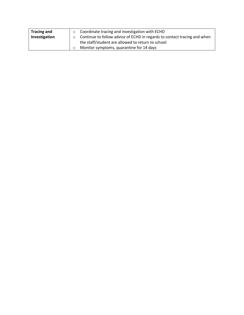| <b>Tracing and</b> | Coordinate tracing and investigation with ECHD                           |
|--------------------|--------------------------------------------------------------------------|
| Investigation      | Continue to follow advice of ECHD in regards to contact tracing and when |
|                    | the staff/student are allowed to return to school                        |
|                    | Monitor symptoms, quarantine for 14 days                                 |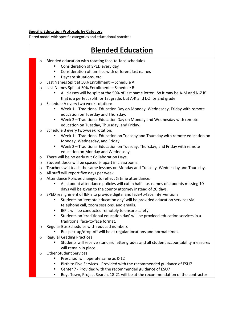#### **Specific Education Protocols by Category**

Tiered model with specific categories and educational practices



§ Boys Town, Project Search, 18-21 will be at the recommendation of the contractor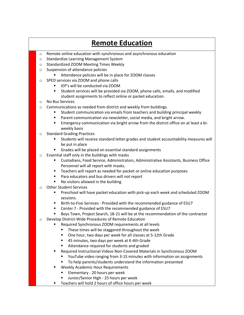## **Remote Education**

- o Remote online education with synchronous and asynchronous education
- o Standardize Learning Management System
- o Standardized ZOOM Meeting Times Weekly
- o Suspension of attendance policies
	- Attendance policies will be in place for ZOOM classes
- o SPED services via ZOOM and phone calls
	- IEP's will be conducted via ZOOM
	- § Student services will be provided via ZOOM, phone calls, emails, and modified student assignments to reflect online or packet education.
- o No Bus Services
- o Communications as needed from district and weekly from buildings.
	- § Student communication via emails from teachers and building principal weekly
	- Parent communication via newsletter, social media, and bright arrow.
	- § Emergency communication via bright arrow from the district office on at least a biweekly basis
- o Standard Grading Practices
	- § Students will receive standard letter grades and student accountability measures will be put in place
	- Grades will be placed on essential standard assignments
- o Essential staff only in the buildings with masks
	- § Custodians, Food Service, Administrators, Administrative Assistants, Business Office Personnel will all report with masks.
	- Teachers will report as needed for packet or online education purposes
	- Para educators and bus drivers will not report
	- § No visitors allowed in the building
- o Other Student Services
	- **•** Preschool will have packet education with pick-up each week and scheduled ZOOM sessions.
	- Birth-to-Five Services Provided with the recommended guidance of ESU7
	- Center 7 Provided with the recommended guidance of ESU7
	- § Boys Town, Project Search, 18-21 will be at the recommendation of the contractor
- o Develop District-Wide Procedures of Remote Education
	- Required Synchronous ZOOM requirements at all levels
		- These times will be staggered throughout the week
		- One hour, two days per week for all classes at 5-12th Grade
		- 45 minutes, two days per week at K-4th Grade
		- Attendance required for students and graded
	- § Required Instructional Videos Non-Covered Materials in Synchronous ZOOM
		- § YouTube video ranging from 3-15 minutes with information on assignments
		- To help parents/students understand the information presented
	- Weekly Academic Hour Requirements
		- § Elementary 20 hours per week
		- § Junior/Senior High 25 hours per week
	- Teachers will hold 2 hours of office hours per week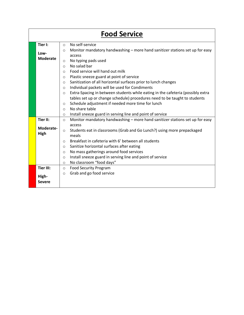|      |                         | <b>Food Service</b>                                                                               |
|------|-------------------------|---------------------------------------------------------------------------------------------------|
|      | Tier I:                 | No self-service<br>$\bigcirc$                                                                     |
|      | Low-<br><b>Moderate</b> | Monitor mandatory handwashing - more hand sanitizer stations set up for easy<br>$\circ$<br>access |
|      |                         | No typing pads used<br>$\circ$                                                                    |
|      |                         | No salad bar<br>$\circ$                                                                           |
|      |                         | Food service will hand out milk<br>$\circ$                                                        |
|      |                         | Plastic sneeze guard at point of service<br>$\circ$                                               |
|      |                         | Sanitization of all horizontal surfaces prior to lunch changes<br>$\circ$                         |
|      |                         | Individual packets will be used for Condiments<br>$\circ$                                         |
|      |                         | Extra-Spacing in between students while eating in the cafeteria (possibly extra<br>$\circ$        |
|      |                         | tables set up or change schedule) procedures need to be taught to students                        |
|      |                         | Schedule adjustment if needed more time for lunch<br>$\circ$                                      |
|      |                         | No share table<br>$\circ$                                                                         |
|      |                         | Install sneeze guard in serving line and point of service<br>$\circ$                              |
|      | Tier II:                | Monitor mandatory handwashing - more hand sanitizer stations set up for easy<br>$\circ$           |
|      | Moderate-               | access                                                                                            |
| High |                         | Students eat in classrooms (Grab and Go Lunch?) using more prepackaged<br>$\circ$<br>meals        |
|      |                         | Breakfast in cafeteria with 6' between all students<br>$\circ$                                    |
|      |                         | Sanitize horizontal surfaces after eating<br>$\circ$                                              |
|      |                         | No mass gatherings around food services<br>$\circ$                                                |
|      |                         | Install sneeze guard in serving line and point of service<br>$\circ$                              |
|      |                         | No classroom "food days"<br>$\circ$                                                               |
|      | <b>Tier III:</b>        | <b>Food Security Program</b><br>$\circ$                                                           |
|      |                         | Grab and go food service<br>$\circ$                                                               |
|      | High-                   |                                                                                                   |
|      | <b>Severe</b>           |                                                                                                   |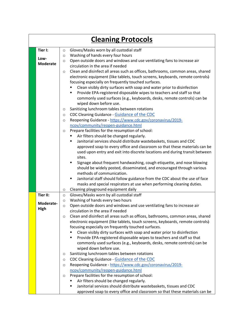| <b>Cleaning Protocols</b> |                 |                                                                                            |  |  |  |
|---------------------------|-----------------|--------------------------------------------------------------------------------------------|--|--|--|
|                           | Tier I:         | Gloves/Masks worn by all custodial staff<br>$\circ$                                        |  |  |  |
|                           | Low-            | Washing of hands every four hours<br>$\circ$                                               |  |  |  |
|                           | <b>Moderate</b> | Open outside doors and windows and use ventilating fans to increase air<br>$\circ$         |  |  |  |
|                           |                 | circulation in the area if needed                                                          |  |  |  |
|                           |                 | Clean and disinfect all areas such as offices, bathrooms, common areas, shared<br>$\circ$  |  |  |  |
|                           |                 | electronic equipment (like tablets, touch screens, keyboards, remote controls)             |  |  |  |
|                           |                 | focusing especially on frequently touched surfaces.                                        |  |  |  |
|                           |                 | Clean visibly dirty surfaces with soap and water prior to disinfection                     |  |  |  |
|                           |                 | Provide EPA-registered disposable wipes to teachers and staff so that                      |  |  |  |
|                           |                 | commonly used surfaces (e.g., keyboards, desks, remote controls) can be                    |  |  |  |
|                           |                 | wiped down before use.<br>Sanitizing lunchroom tables between rotations                    |  |  |  |
|                           |                 | $\circ$<br>CDC Cleaning Guidance - Guidance of the CDC                                     |  |  |  |
|                           |                 | $\circ$<br>Reopening Guidance - https://www.cdc.gov/coronavirus/2019-<br>$\circ$           |  |  |  |
|                           |                 | ncov/community/reopen-guidance.html                                                        |  |  |  |
|                           |                 | Prepare facilities for the resumption of school:<br>$\circ$                                |  |  |  |
|                           |                 | Air filters should be changed regularly.                                                   |  |  |  |
|                           |                 | Janitorial services should distribute wastebaskets, tissues and CDC                        |  |  |  |
|                           |                 | approved soap to every office and classroom so that these materials can be                 |  |  |  |
|                           |                 | used upon entry and exit into discrete locations and during transit between                |  |  |  |
|                           |                 | sites.                                                                                     |  |  |  |
|                           |                 | Signage about frequent handwashing, cough etiquette, and nose blowing                      |  |  |  |
|                           |                 | should be widely posted, disseminated, and encouraged through various                      |  |  |  |
|                           |                 | methods of communication.                                                                  |  |  |  |
|                           |                 | Janitorial staff should follow guidance from the CDC about the use of face                 |  |  |  |
|                           |                 | masks and special respirators at use when performing cleaning duties.                      |  |  |  |
|                           | <b>Tier II:</b> | Cleaning playground equipment daily<br>$\circ$<br>Gloves/Masks worn by all custodial staff |  |  |  |
|                           |                 | $\circ$<br>Washing of hands every two hours<br>$\circ$                                     |  |  |  |
|                           | Moderate-       | Open outside doors and windows and use ventilating fans to increase air<br>$\circ$         |  |  |  |
|                           | High            | circulation in the area if needed                                                          |  |  |  |
|                           |                 | Clean and disinfect all areas such as offices, bathrooms, common areas, shared<br>O        |  |  |  |
|                           |                 | electronic equipment (like tablets, touch screens, keyboards, remote controls)             |  |  |  |
|                           |                 | focusing especially on frequently touched surfaces.                                        |  |  |  |
|                           |                 | Clean visibly dirty surfaces with soap and water prior to disinfection                     |  |  |  |
|                           |                 | Provide EPA-registered disposable wipes to teachers and staff so that                      |  |  |  |
|                           |                 | commonly used surfaces (e.g., keyboards, desks, remote controls) can be                    |  |  |  |
|                           |                 | wiped down before use.                                                                     |  |  |  |
|                           |                 | Sanitizing lunchroom tables between rotations<br>$\circ$                                   |  |  |  |
|                           |                 | CDC Cleaning Guidance - Guidance of the CDC<br>$\circ$                                     |  |  |  |
|                           |                 | Reopening Guidance - https://www.cdc.gov/coronavirus/2019-<br>O                            |  |  |  |
|                           |                 | ncov/community/reopen-guidance.html<br>Prepare facilities for the resumption of school:    |  |  |  |
|                           |                 | $\circ$<br>Air filters should be changed regularly.                                        |  |  |  |
|                           |                 | Janitorial services should distribute wastebaskets, tissues and CDC                        |  |  |  |
|                           |                 | approved soap to every office and classroom so that these materials can be                 |  |  |  |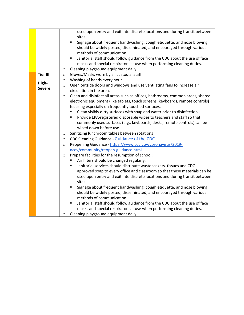|                  | used upon entry and exit into discrete locations and during transit between               |
|------------------|-------------------------------------------------------------------------------------------|
|                  | sites.                                                                                    |
|                  | Signage about frequent handwashing, cough etiquette, and nose blowing<br>٠                |
|                  | should be widely posted, disseminated, and encouraged through various                     |
|                  | methods of communication.                                                                 |
|                  | Janitorial staff should follow guidance from the CDC about the use of face<br>٠           |
|                  | masks and special respirators at use when performing cleaning duties.                     |
|                  | Cleaning playground equipment daily<br>$\circ$                                            |
| <b>Tier III:</b> | Gloves/Masks worn by all custodial staff<br>$\circ$                                       |
|                  | Washing of hands every hour<br>$\circ$                                                    |
| High-            | Open outside doors and windows and use ventilating fans to increase air<br>$\circ$        |
| <b>Severe</b>    | circulation in the area.                                                                  |
|                  | Clean and disinfect all areas such as offices, bathrooms, common areas, shared<br>$\circ$ |
|                  | electronic equipment (like tablets, touch screens, keyboards, remote controls)            |
|                  | focusing especially on frequently touched surfaces.                                       |
|                  | Clean visibly dirty surfaces with soap and water prior to disinfection                    |
|                  | Provide EPA-registered disposable wipes to teachers and staff so that                     |
|                  | commonly used surfaces (e.g., keyboards, desks, remote controls) can be                   |
|                  | wiped down before use.                                                                    |
|                  | Sanitizing lunchroom tables between rotations<br>$\circ$                                  |
|                  | CDC Cleaning Guidance - Guidance of the CDC<br>$\circ$                                    |
|                  | Reopening Guidance - https://www.cdc.gov/coronavirus/2019-<br>$\circ$                     |
|                  | ncov/community/reopen-guidance.html                                                       |
|                  | Prepare facilities for the resumption of school:                                          |
|                  | $\circ$<br>Air filters should be changed regularly.                                       |
|                  | Janitorial services should distribute wastebaskets, tissues and CDC                       |
|                  |                                                                                           |
|                  | approved soap to every office and classroom so that these materials can be                |
|                  | used upon entry and exit into discrete locations and during transit between               |
|                  | sites.                                                                                    |
|                  | Signage about frequent handwashing, cough etiquette, and nose blowing<br>٠                |
|                  | should be widely posted, disseminated, and encouraged through various                     |
|                  | methods of communication.                                                                 |
|                  | Janitorial staff should follow guidance from the CDC about the use of face<br>п           |
|                  | masks and special respirators at use when performing cleaning duties.                     |
|                  | Cleaning playground equipment daily<br>O                                                  |